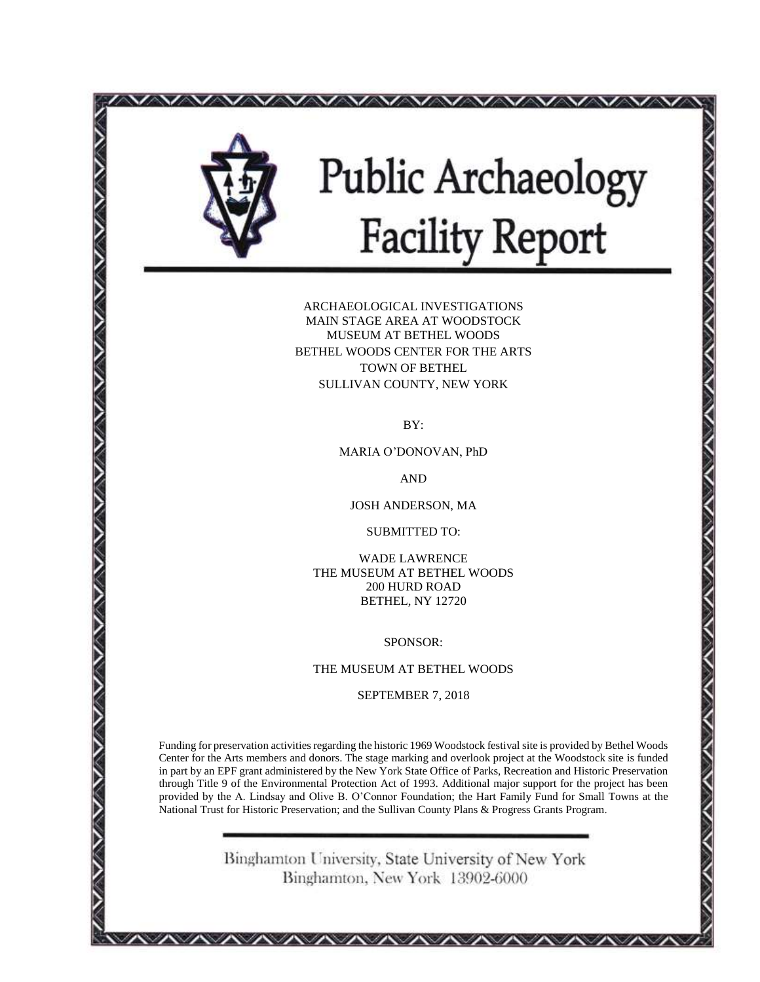

# **Public Archaeology<br>Facility Report**

ARCHAEOLOGICAL INVESTIGATIONS MAIN STAGE AREA AT WOODSTOCK MUSEUM AT BETHEL WOODS BETHEL WOODS CENTER FOR THE ARTS TOWN OF BETHEL SULLIVAN COUNTY, NEW YORK

BY:

MARIA O'DONOVAN, PhD

AND

JOSH ANDERSON, MA

SUBMITTED TO:

WADE LAWRENCE THE MUSEUM AT BETHEL WOODS 200 HURD ROAD BETHEL, NY 12720

SPONSOR:

THE MUSEUM AT BETHEL WOODS

SEPTEMBER 7, 2018

Funding for preservation activities regarding the historic 1969 Woodstock festival site is provided by Bethel Woods Center for the Arts members and donors. The stage marking and overlook project at the Woodstock site is funded in part by an EPF grant administered by the New York State Office of Parks, Recreation and Historic Preservation through Title 9 of the Environmental Protection Act of 1993. Additional major support for the project has been provided by the A. Lindsay and Olive B. O'Connor Foundation; the Hart Family Fund for Small Towns at the National Trust for Historic Preservation; and the Sullivan County Plans & Progress Grants Program.

> Binghamton University, State University of New York Binghamton, New York 13902-6000

*AAAAAAAAAAAAA*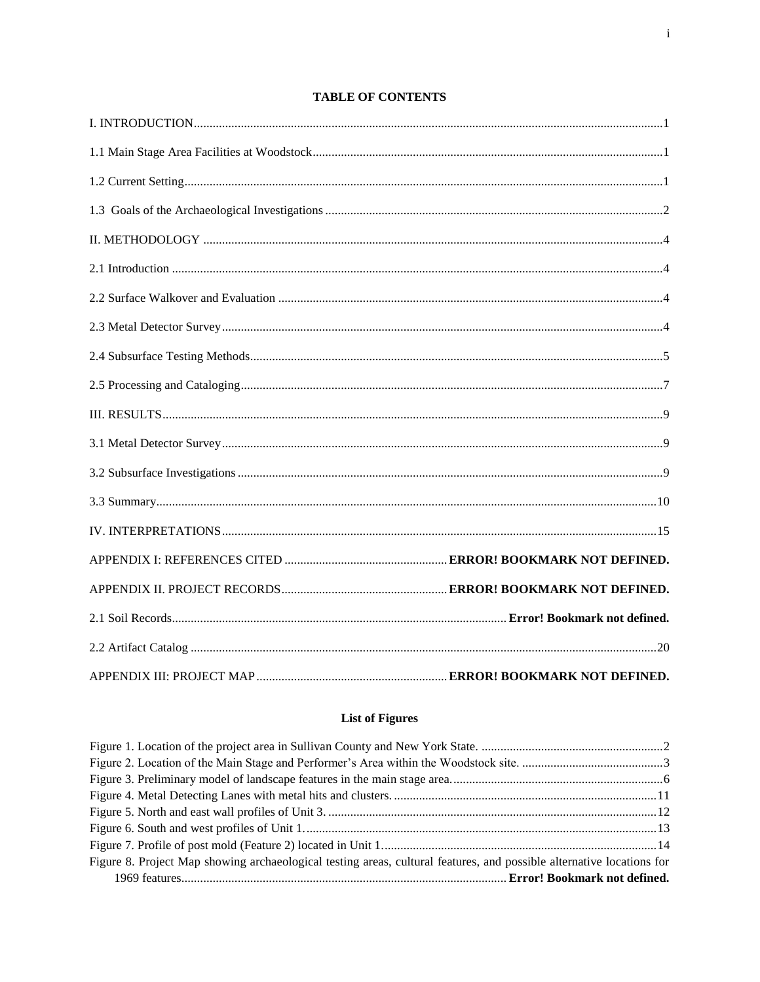# **TABLE OF CONTENTS**

# **List of Figures**

| Figure 8. Project Map showing archaeological testing areas, cultural features, and possible alternative locations for |  |
|-----------------------------------------------------------------------------------------------------------------------|--|
|                                                                                                                       |  |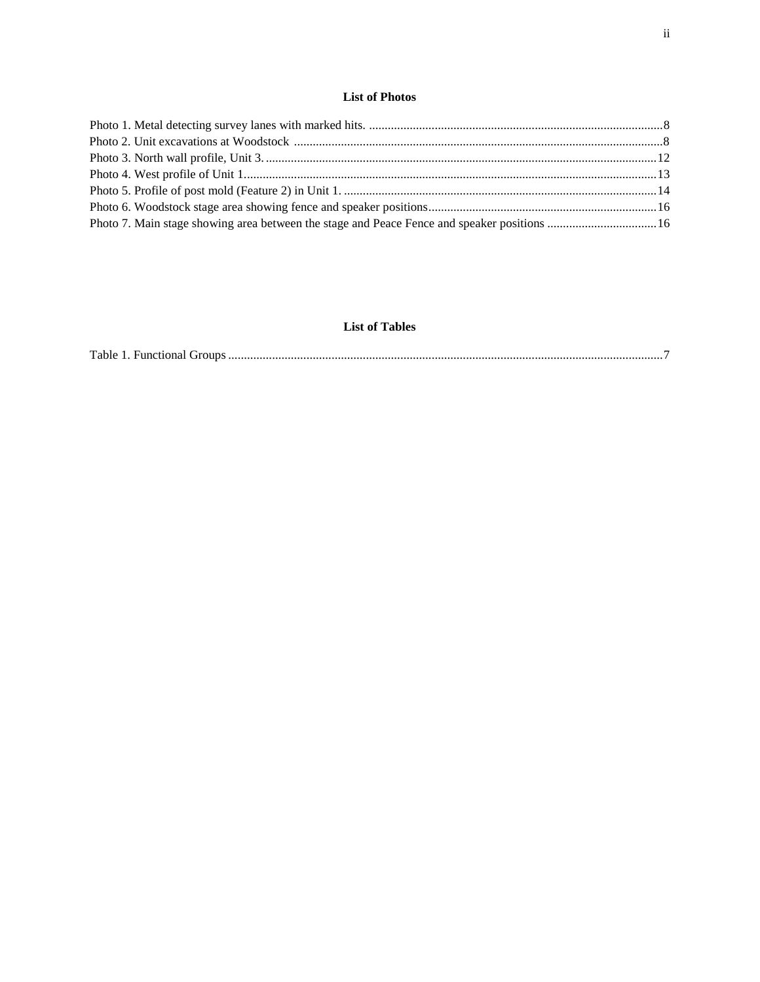| Photo 7. Main stage showing area between the stage and Peace Fence and speaker positions  16 |  |
|----------------------------------------------------------------------------------------------|--|

# **List of Tables**

|--|--|--|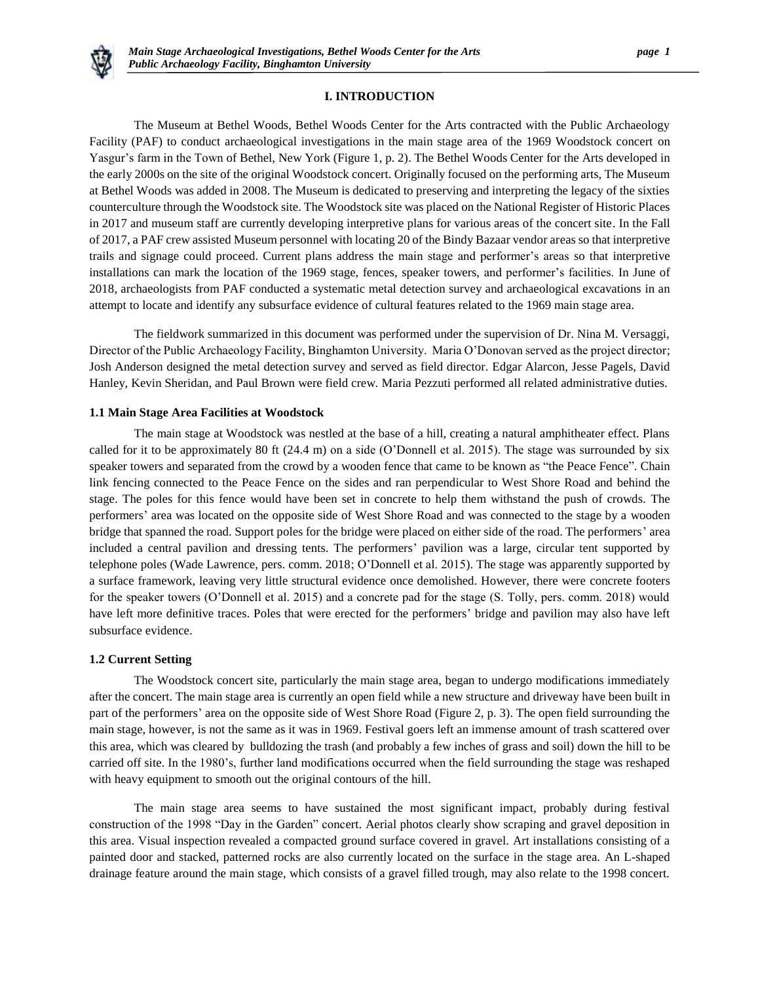

# **I. INTRODUCTION**

The Museum at Bethel Woods, Bethel Woods Center for the Arts contracted with the Public Archaeology Facility (PAF) to conduct archaeological investigations in the main stage area of the 1969 Woodstock concert on Yasgur's farm in the Town of Bethel, New York (Figure 1, p. 2). The Bethel Woods Center for the Arts developed in the early 2000s on the site of the original Woodstock concert. Originally focused on the performing arts, The Museum at Bethel Woods was added in 2008. The Museum is dedicated to preserving and interpreting the legacy of the sixties counterculture through the Woodstock site. The Woodstock site was placed on the National Register of Historic Places in 2017 and museum staff are currently developing interpretive plans for various areas of the concert site. In the Fall of 2017, a PAF crew assisted Museum personnel with locating 20 of the Bindy Bazaar vendor areas so that interpretive trails and signage could proceed. Current plans address the main stage and performer's areas so that interpretive installations can mark the location of the 1969 stage, fences, speaker towers, and performer's facilities. In June of 2018, archaeologists from PAF conducted a systematic metal detection survey and archaeological excavations in an attempt to locate and identify any subsurface evidence of cultural features related to the 1969 main stage area.

The fieldwork summarized in this document was performed under the supervision of Dr. Nina M. Versaggi, Director of the Public Archaeology Facility, Binghamton University. Maria O'Donovan served as the project director; Josh Anderson designed the metal detection survey and served as field director. Edgar Alarcon, Jesse Pagels, David Hanley, Kevin Sheridan, and Paul Brown were field crew. Maria Pezzuti performed all related administrative duties.

#### **1.1 Main Stage Area Facilities at Woodstock**

The main stage at Woodstock was nestled at the base of a hill, creating a natural amphitheater effect. Plans called for it to be approximately 80 ft (24.4 m) on a side (O'Donnell et al. 2015). The stage was surrounded by six speaker towers and separated from the crowd by a wooden fence that came to be known as "the Peace Fence". Chain link fencing connected to the Peace Fence on the sides and ran perpendicular to West Shore Road and behind the stage. The poles for this fence would have been set in concrete to help them withstand the push of crowds. The performers' area was located on the opposite side of West Shore Road and was connected to the stage by a wooden bridge that spanned the road. Support poles for the bridge were placed on either side of the road. The performers' area included a central pavilion and dressing tents. The performers' pavilion was a large, circular tent supported by telephone poles (Wade Lawrence, pers. comm. 2018; O'Donnell et al. 2015). The stage was apparently supported by a surface framework, leaving very little structural evidence once demolished. However, there were concrete footers for the speaker towers (O'Donnell et al. 2015) and a concrete pad for the stage (S. Tolly, pers. comm. 2018) would have left more definitive traces. Poles that were erected for the performers' bridge and pavilion may also have left subsurface evidence.

## **1.2 Current Setting**

The Woodstock concert site, particularly the main stage area, began to undergo modifications immediately after the concert. The main stage area is currently an open field while a new structure and driveway have been built in part of the performers' area on the opposite side of West Shore Road (Figure 2, p. 3). The open field surrounding the main stage, however, is not the same as it was in 1969. Festival goers left an immense amount of trash scattered over this area, which was cleared by bulldozing the trash (and probably a few inches of grass and soil) down the hill to be carried off site. In the 1980's, further land modifications occurred when the field surrounding the stage was reshaped with heavy equipment to smooth out the original contours of the hill.

The main stage area seems to have sustained the most significant impact, probably during festival construction of the 1998 "Day in the Garden" concert. Aerial photos clearly show scraping and gravel deposition in this area. Visual inspection revealed a compacted ground surface covered in gravel. Art installations consisting of a painted door and stacked, patterned rocks are also currently located on the surface in the stage area. An L-shaped drainage feature around the main stage, which consists of a gravel filled trough, may also relate to the 1998 concert.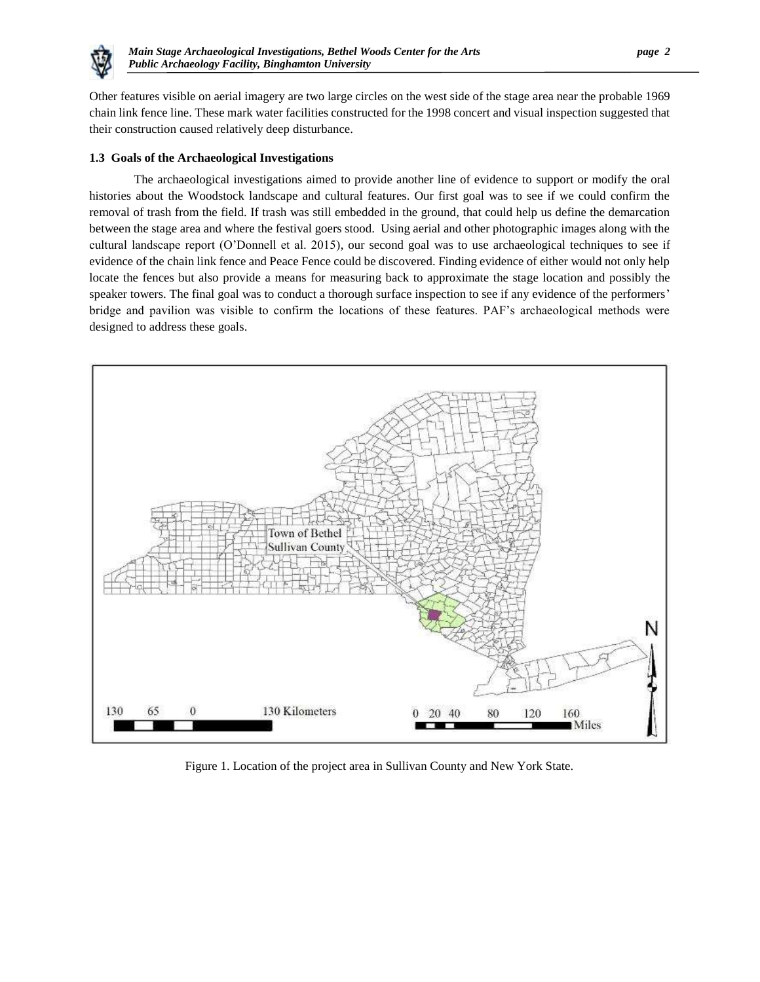

Other features visible on aerial imagery are two large circles on the west side of the stage area near the probable 1969 chain link fence line. These mark water facilities constructed for the 1998 concert and visual inspection suggested that their construction caused relatively deep disturbance.

# **1.3 Goals of the Archaeological Investigations**

The archaeological investigations aimed to provide another line of evidence to support or modify the oral histories about the Woodstock landscape and cultural features. Our first goal was to see if we could confirm the removal of trash from the field. If trash was still embedded in the ground, that could help us define the demarcation between the stage area and where the festival goers stood. Using aerial and other photographic images along with the cultural landscape report (O'Donnell et al. 2015), our second goal was to use archaeological techniques to see if evidence of the chain link fence and Peace Fence could be discovered. Finding evidence of either would not only help locate the fences but also provide a means for measuring back to approximate the stage location and possibly the speaker towers. The final goal was to conduct a thorough surface inspection to see if any evidence of the performers' bridge and pavilion was visible to confirm the locations of these features. PAF's archaeological methods were designed to address these goals.



Figure 1. Location of the project area in Sullivan County and New York State.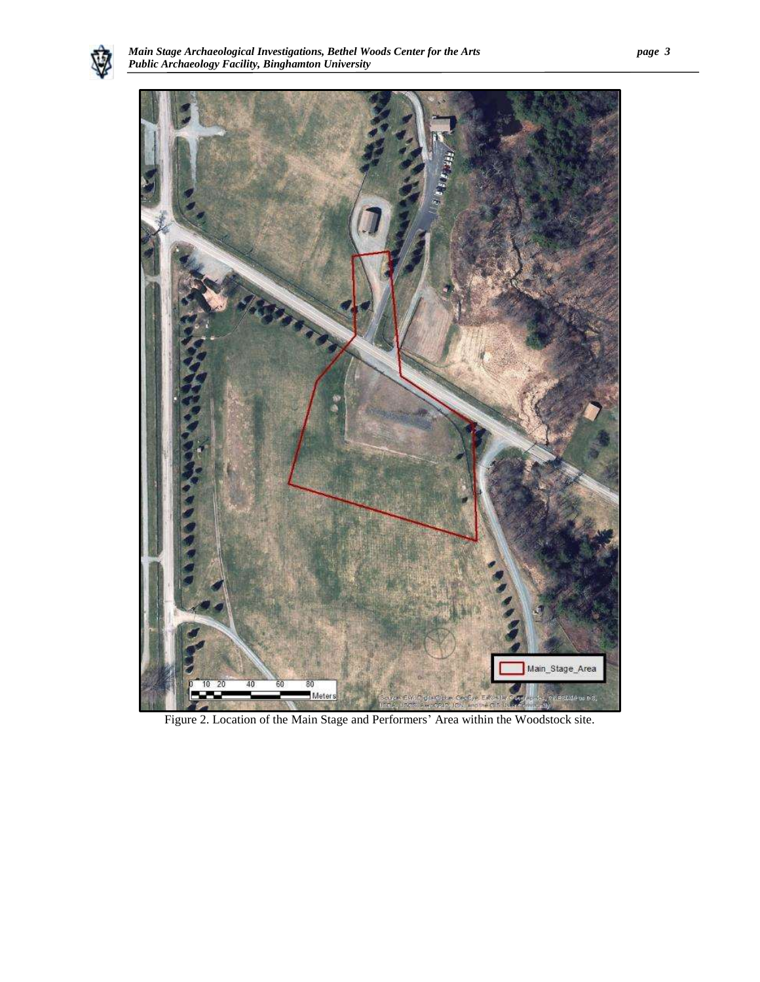



Figure 2. Location of the Main Stage and Performers' Area within the Woodstock site.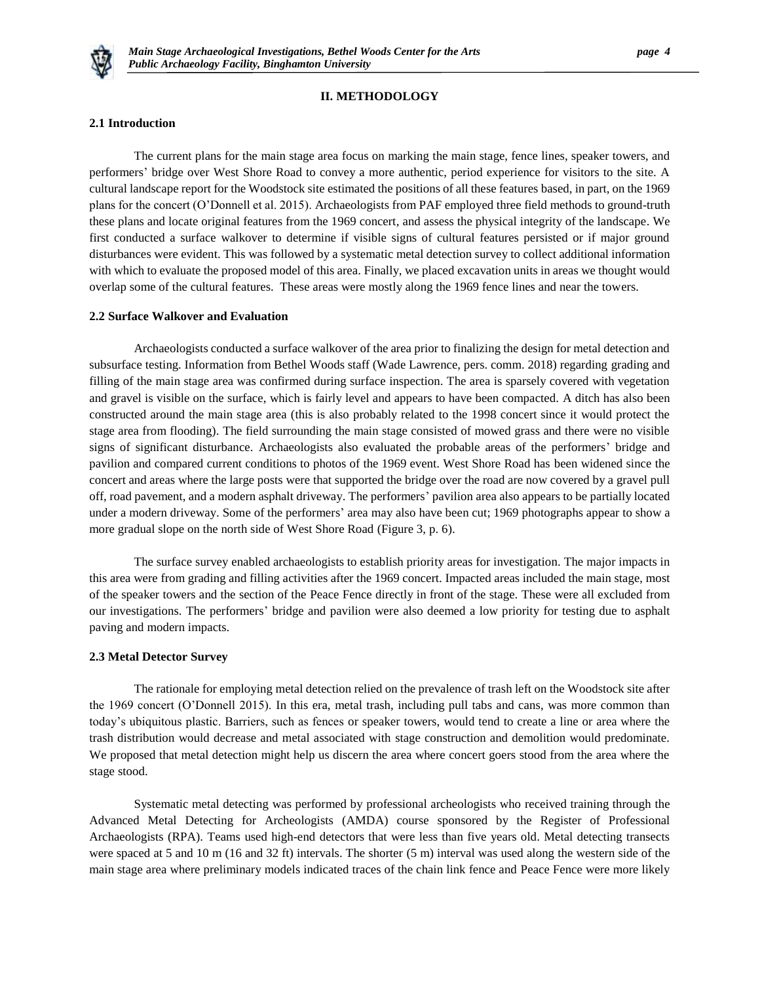

# **II. METHODOLOGY**

#### **2.1 Introduction**

The current plans for the main stage area focus on marking the main stage, fence lines, speaker towers, and performers' bridge over West Shore Road to convey a more authentic, period experience for visitors to the site. A cultural landscape report for the Woodstock site estimated the positions of all these features based, in part, on the 1969 plans for the concert (O'Donnell et al. 2015). Archaeologists from PAF employed three field methods to ground-truth these plans and locate original features from the 1969 concert, and assess the physical integrity of the landscape. We first conducted a surface walkover to determine if visible signs of cultural features persisted or if major ground disturbances were evident. This was followed by a systematic metal detection survey to collect additional information with which to evaluate the proposed model of this area. Finally, we placed excavation units in areas we thought would overlap some of the cultural features. These areas were mostly along the 1969 fence lines and near the towers.

#### **2.2 Surface Walkover and Evaluation**

Archaeologists conducted a surface walkover of the area prior to finalizing the design for metal detection and subsurface testing. Information from Bethel Woods staff (Wade Lawrence, pers. comm. 2018) regarding grading and filling of the main stage area was confirmed during surface inspection. The area is sparsely covered with vegetation and gravel is visible on the surface, which is fairly level and appears to have been compacted. A ditch has also been constructed around the main stage area (this is also probably related to the 1998 concert since it would protect the stage area from flooding). The field surrounding the main stage consisted of mowed grass and there were no visible signs of significant disturbance. Archaeologists also evaluated the probable areas of the performers' bridge and pavilion and compared current conditions to photos of the 1969 event. West Shore Road has been widened since the concert and areas where the large posts were that supported the bridge over the road are now covered by a gravel pull off, road pavement, and a modern asphalt driveway. The performers' pavilion area also appears to be partially located under a modern driveway. Some of the performers' area may also have been cut; 1969 photographs appear to show a more gradual slope on the north side of West Shore Road (Figure 3, p. 6).

The surface survey enabled archaeologists to establish priority areas for investigation. The major impacts in this area were from grading and filling activities after the 1969 concert. Impacted areas included the main stage, most of the speaker towers and the section of the Peace Fence directly in front of the stage. These were all excluded from our investigations. The performers' bridge and pavilion were also deemed a low priority for testing due to asphalt paving and modern impacts.

#### **2.3 Metal Detector Survey**

The rationale for employing metal detection relied on the prevalence of trash left on the Woodstock site after the 1969 concert (O'Donnell 2015). In this era, metal trash, including pull tabs and cans, was more common than today's ubiquitous plastic. Barriers, such as fences or speaker towers, would tend to create a line or area where the trash distribution would decrease and metal associated with stage construction and demolition would predominate. We proposed that metal detection might help us discern the area where concert goers stood from the area where the stage stood.

Systematic metal detecting was performed by professional archeologists who received training through the Advanced Metal Detecting for Archeologists (AMDA) course sponsored by the Register of Professional Archaeologists (RPA). Teams used high-end detectors that were less than five years old. Metal detecting transects were spaced at 5 and 10 m (16 and 32 ft) intervals. The shorter (5 m) interval was used along the western side of the main stage area where preliminary models indicated traces of the chain link fence and Peace Fence were more likely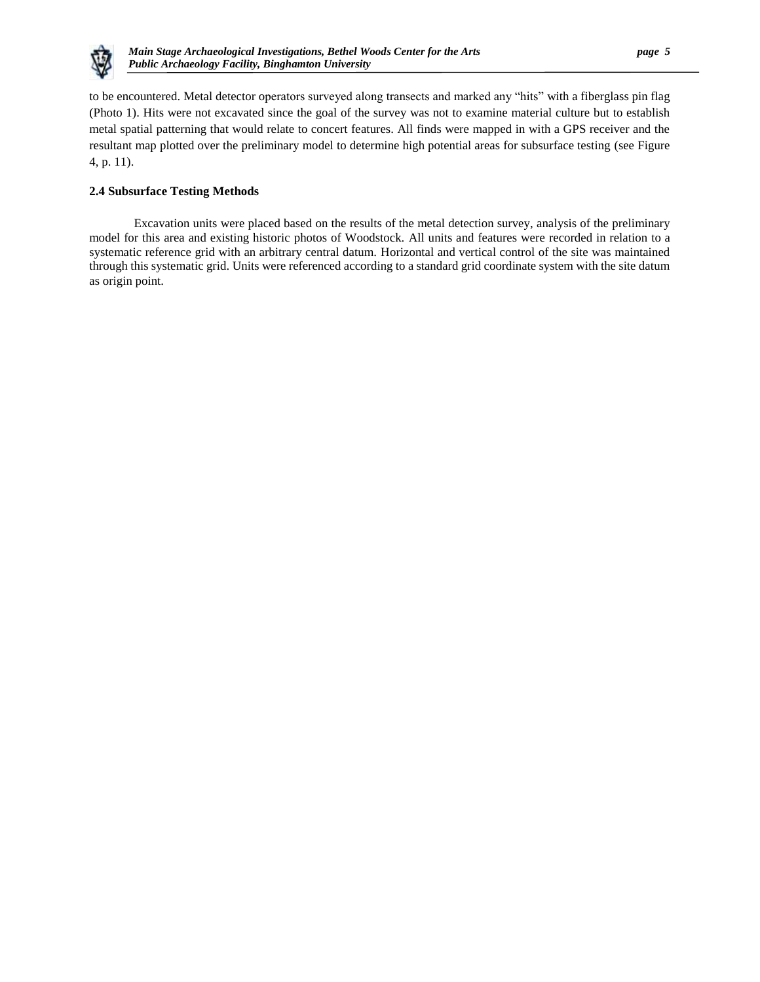

to be encountered. Metal detector operators surveyed along transects and marked any "hits" with a fiberglass pin flag (Photo 1). Hits were not excavated since the goal of the survey was not to examine material culture but to establish metal spatial patterning that would relate to concert features. All finds were mapped in with a GPS receiver and the resultant map plotted over the preliminary model to determine high potential areas for subsurface testing (see Figure 4, p. 11).

# **2.4 Subsurface Testing Methods**

Excavation units were placed based on the results of the metal detection survey, analysis of the preliminary model for this area and existing historic photos of Woodstock. All units and features were recorded in relation to a systematic reference grid with an arbitrary central datum. Horizontal and vertical control of the site was maintained through this systematic grid. Units were referenced according to a standard grid coordinate system with the site datum as origin point.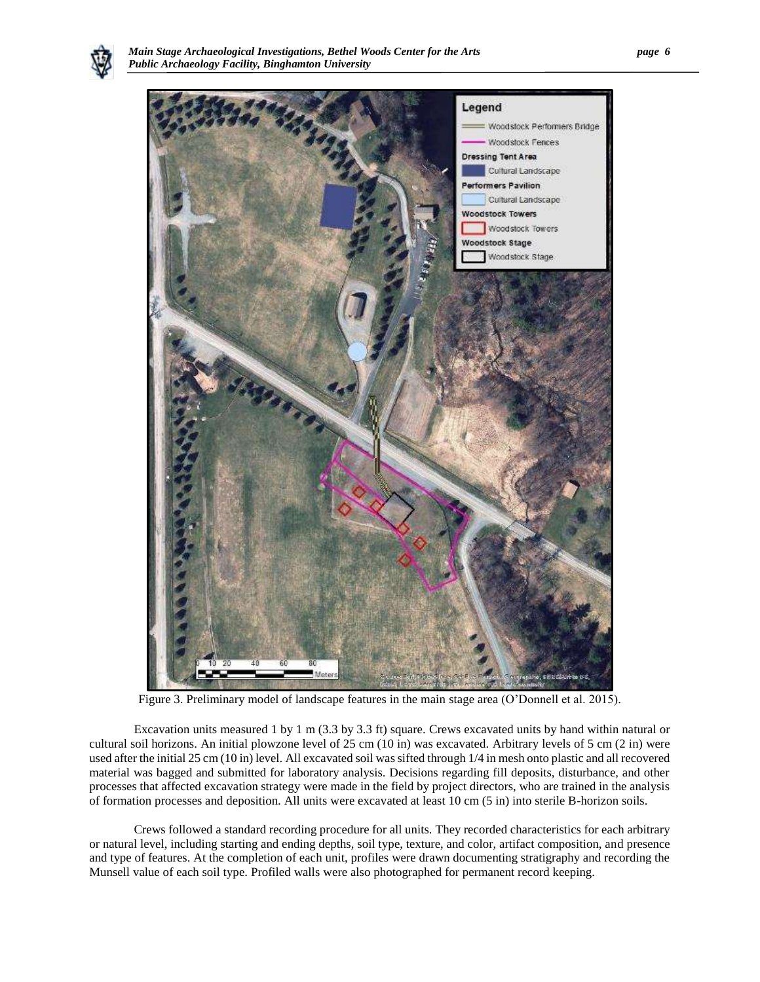



Figure 3. Preliminary model of landscape features in the main stage area (O'Donnell et al. 2015).

Excavation units measured 1 by 1 m (3.3 by 3.3 ft) square. Crews excavated units by hand within natural or cultural soil horizons. An initial plowzone level of 25 cm (10 in) was excavated. Arbitrary levels of 5 cm (2 in) were used after the initial 25 cm (10 in) level. All excavated soil was sifted through 1/4 in mesh onto plastic and all recovered material was bagged and submitted for laboratory analysis. Decisions regarding fill deposits, disturbance, and other processes that affected excavation strategy were made in the field by project directors, who are trained in the analysis of formation processes and deposition. All units were excavated at least 10 cm (5 in) into sterile B-horizon soils.

Crews followed a standard recording procedure for all units. They recorded characteristics for each arbitrary or natural level, including starting and ending depths, soil type, texture, and color, artifact composition, and presence and type of features. At the completion of each unit, profiles were drawn documenting stratigraphy and recording the Munsell value of each soil type. Profiled walls were also photographed for permanent record keeping.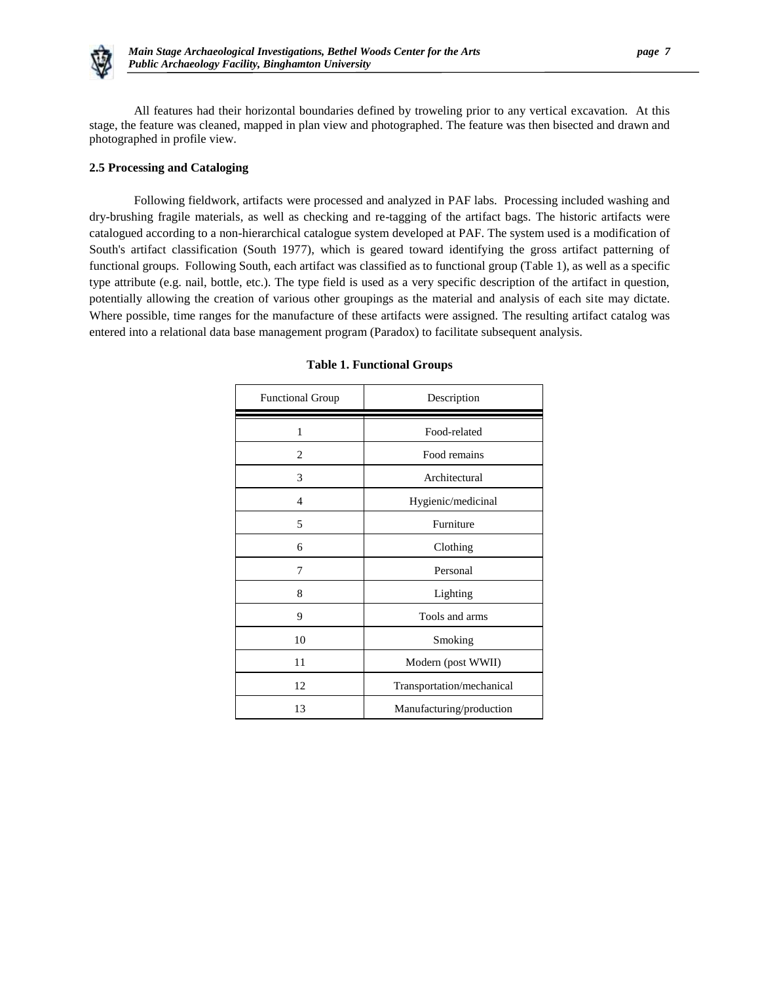

All features had their horizontal boundaries defined by troweling prior to any vertical excavation. At this stage, the feature was cleaned, mapped in plan view and photographed. The feature was then bisected and drawn and photographed in profile view.

# **2.5 Processing and Cataloging**

Following fieldwork, artifacts were processed and analyzed in PAF labs. Processing included washing and dry-brushing fragile materials, as well as checking and re-tagging of the artifact bags. The historic artifacts were catalogued according to a non-hierarchical catalogue system developed at PAF. The system used is a modification of South's artifact classification (South 1977), which is geared toward identifying the gross artifact patterning of functional groups. Following South, each artifact was classified as to functional group (Table 1), as well as a specific type attribute (e.g. nail, bottle, etc.). The type field is used as a very specific description of the artifact in question, potentially allowing the creation of various other groupings as the material and analysis of each site may dictate. Where possible, time ranges for the manufacture of these artifacts were assigned. The resulting artifact catalog was entered into a relational data base management program (Paradox) to facilitate subsequent analysis.

| <b>Functional Group</b> | Description               |
|-------------------------|---------------------------|
| 1                       | Food-related              |
| $\overline{c}$          | Food remains              |
| 3                       | Architectural             |
| 4                       | Hygienic/medicinal        |
| 5                       | Furniture                 |
| 6                       | Clothing                  |
| 7                       | Personal                  |
| 8                       | Lighting                  |
| 9                       | Tools and arms            |
| 10                      | Smoking                   |
| 11                      | Modern (post WWII)        |
| 12                      | Transportation/mechanical |
| 13                      | Manufacturing/production  |

# **Table 1. Functional Groups**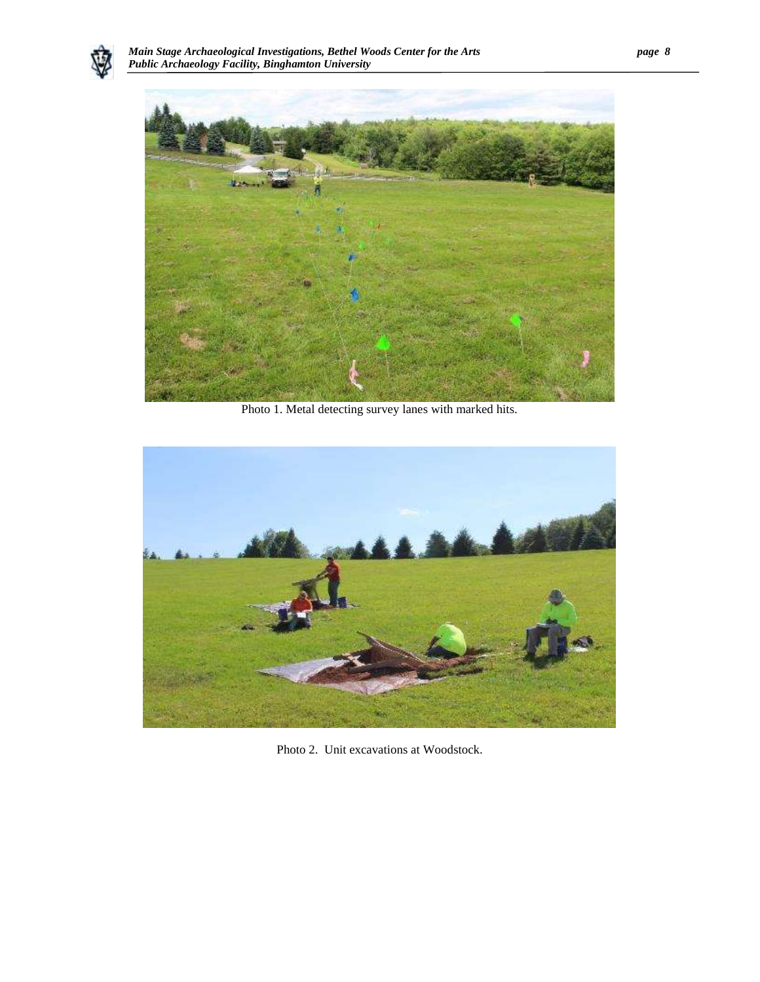



Photo 1. Metal detecting survey lanes with marked hits.

<span id="page-10-0"></span>

Photo 2. Unit excavations at Woodstock.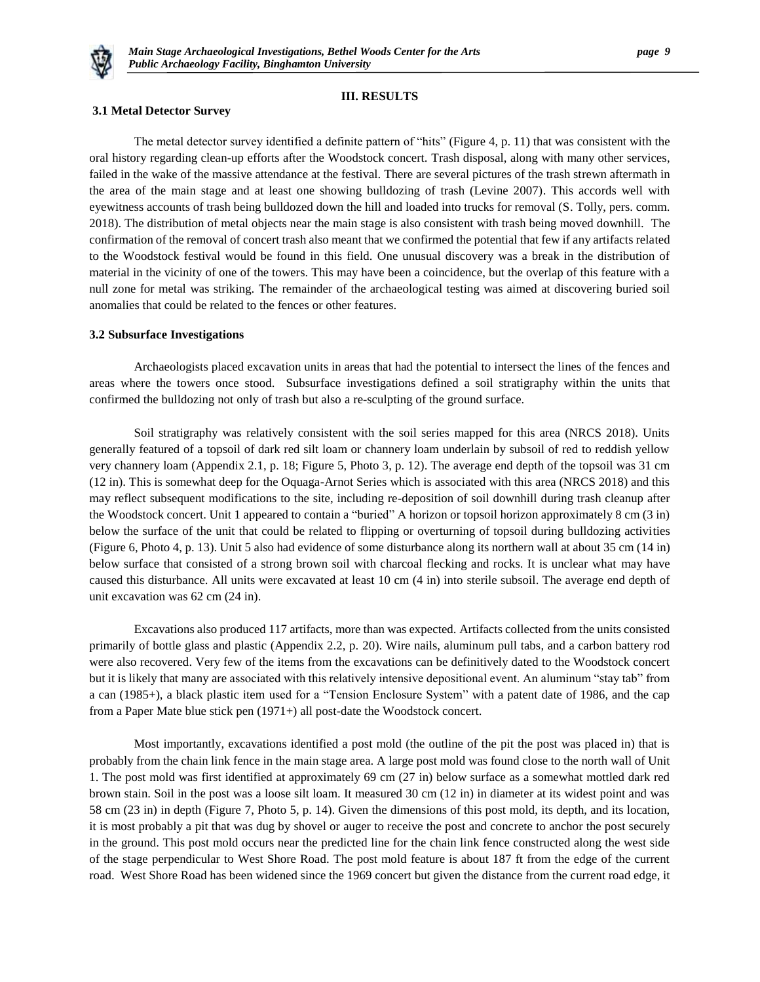

# **III. RESULTS**

#### **3.1 Metal Detector Survey**

The metal detector survey identified a definite pattern of "hits" (Figure 4, p. 11) that was consistent with the oral history regarding clean-up efforts after the Woodstock concert. Trash disposal, along with many other services, failed in the wake of the massive attendance at the festival. There are several pictures of the trash strewn aftermath in the area of the main stage and at least one showing bulldozing of trash (Levine 2007). This accords well with eyewitness accounts of trash being bulldozed down the hill and loaded into trucks for removal (S. Tolly, pers. comm. 2018). The distribution of metal objects near the main stage is also consistent with trash being moved downhill. The confirmation of the removal of concert trash also meant that we confirmed the potential that few if any artifacts related to the Woodstock festival would be found in this field. One unusual discovery was a break in the distribution of material in the vicinity of one of the towers. This may have been a coincidence, but the overlap of this feature with a null zone for metal was striking. The remainder of the archaeological testing was aimed at discovering buried soil anomalies that could be related to the fences or other features.

## **3.2 Subsurface Investigations**

Archaeologists placed excavation units in areas that had the potential to intersect the lines of the fences and areas where the towers once stood. Subsurface investigations defined a soil stratigraphy within the units that confirmed the bulldozing not only of trash but also a re-sculpting of the ground surface.

Soil stratigraphy was relatively consistent with the soil series mapped for this area (NRCS 2018). Units generally featured of a topsoil of dark red silt loam or channery loam underlain by subsoil of red to reddish yellow very channery loam (Appendix 2.1, p. 18; Figure 5, Photo 3, p. 12). The average end depth of the topsoil was 31 cm (12 in). This is somewhat deep for the Oquaga-Arnot Series which is associated with this area (NRCS 2018) and this may reflect subsequent modifications to the site, including re-deposition of soil downhill during trash cleanup after the Woodstock concert. Unit 1 appeared to contain a "buried" A horizon or topsoil horizon approximately 8 cm (3 in) below the surface of the unit that could be related to flipping or overturning of topsoil during bulldozing activities (Figure 6, Photo 4, p. 13). Unit 5 also had evidence of some disturbance along its northern wall at about 35 cm (14 in) below surface that consisted of a strong brown soil with charcoal flecking and rocks. It is unclear what may have caused this disturbance. All units were excavated at least 10 cm (4 in) into sterile subsoil. The average end depth of unit excavation was 62 cm (24 in).

Excavations also produced 117 artifacts, more than was expected. Artifacts collected from the units consisted primarily of bottle glass and plastic (Appendix 2.2, p. 20). Wire nails, aluminum pull tabs, and a carbon battery rod were also recovered. Very few of the items from the excavations can be definitively dated to the Woodstock concert but it is likely that many are associated with this relatively intensive depositional event. An aluminum "stay tab" from a can (1985+), a black plastic item used for a "Tension Enclosure System" with a patent date of 1986, and the cap from a Paper Mate blue stick pen (1971+) all post-date the Woodstock concert.

Most importantly, excavations identified a post mold (the outline of the pit the post was placed in) that is probably from the chain link fence in the main stage area. A large post mold was found close to the north wall of Unit 1. The post mold was first identified at approximately 69 cm (27 in) below surface as a somewhat mottled dark red brown stain. Soil in the post was a loose silt loam. It measured 30 cm (12 in) in diameter at its widest point and was 58 cm (23 in) in depth (Figure 7, Photo 5, p. 14). Given the dimensions of this post mold, its depth, and its location, it is most probably a pit that was dug by shovel or auger to receive the post and concrete to anchor the post securely in the ground. This post mold occurs near the predicted line for the chain link fence constructed along the west side of the stage perpendicular to West Shore Road. The post mold feature is about 187 ft from the edge of the current road. West Shore Road has been widened since the 1969 concert but given the distance from the current road edge, it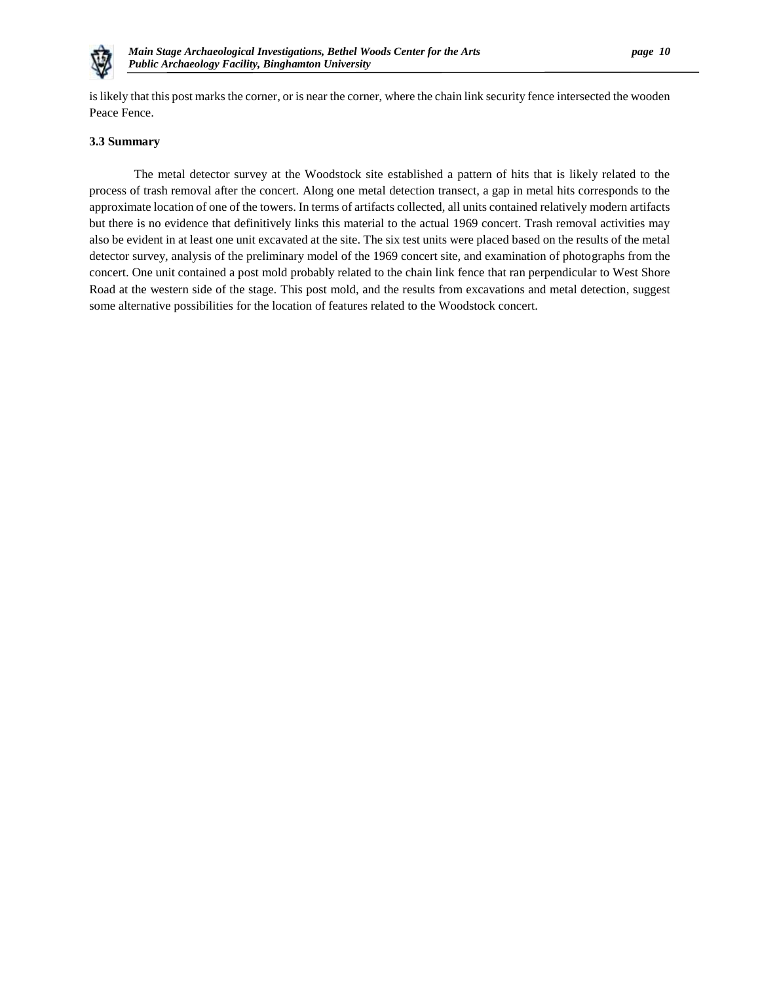

is likely that this post marks the corner, or is near the corner, where the chain link security fence intersected the wooden Peace Fence.

#### **3.3 Summary**

The metal detector survey at the Woodstock site established a pattern of hits that is likely related to the process of trash removal after the concert. Along one metal detection transect, a gap in metal hits corresponds to the approximate location of one of the towers. In terms of artifacts collected, all units contained relatively modern artifacts but there is no evidence that definitively links this material to the actual 1969 concert. Trash removal activities may also be evident in at least one unit excavated at the site. The six test units were placed based on the results of the metal detector survey, analysis of the preliminary model of the 1969 concert site, and examination of photographs from the concert. One unit contained a post mold probably related to the chain link fence that ran perpendicular to West Shore Road at the western side of the stage. This post mold, and the results from excavations and metal detection, suggest some alternative possibilities for the location of features related to the Woodstock concert.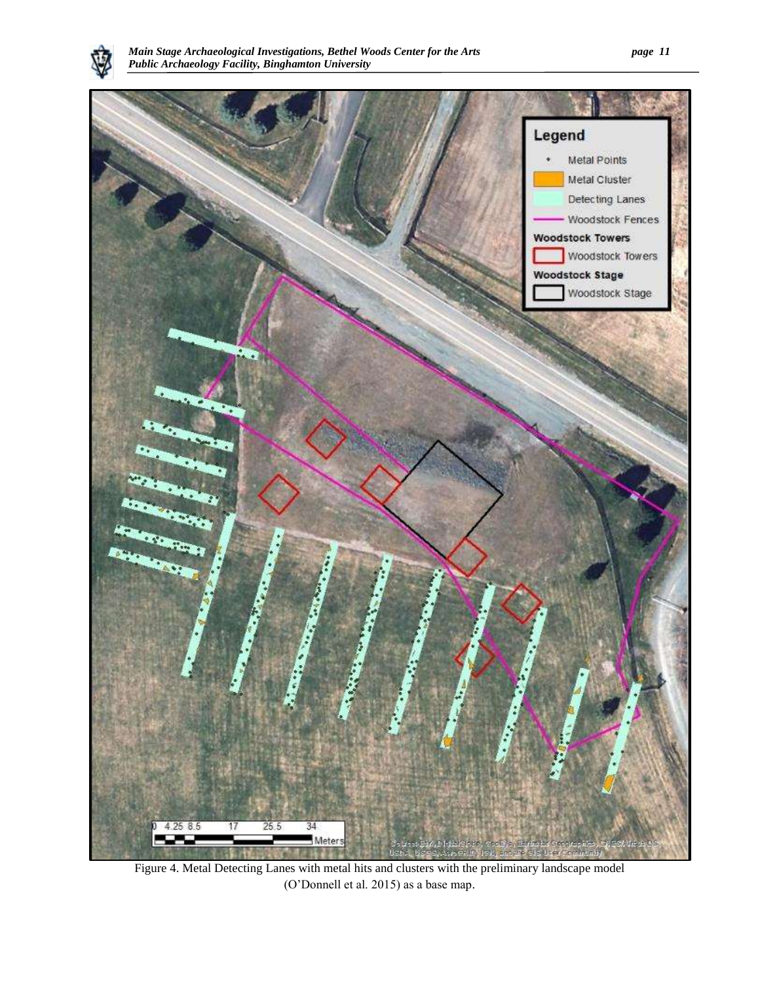



Figure 4. Metal Detecting Lanes with metal hits and clusters with the preliminary landscape model (O'Donnell et al. 2015) as a base map.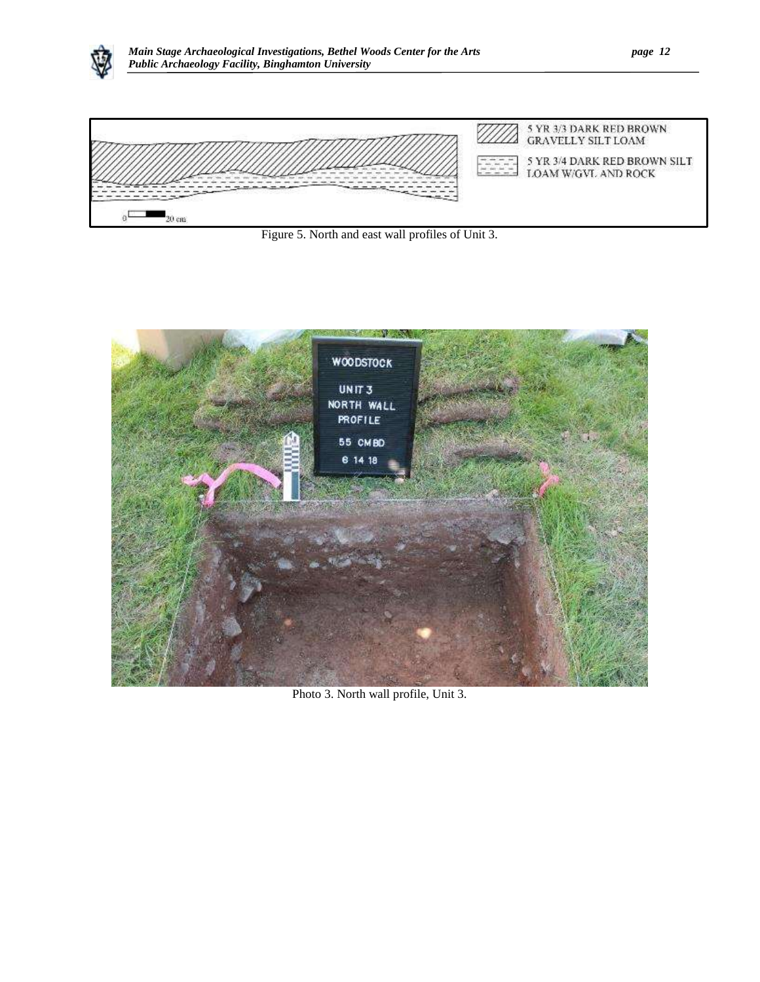



Figure 5. North and east wall profiles of Unit 3.

<span id="page-14-0"></span>

Photo 3. North wall profile, Unit 3.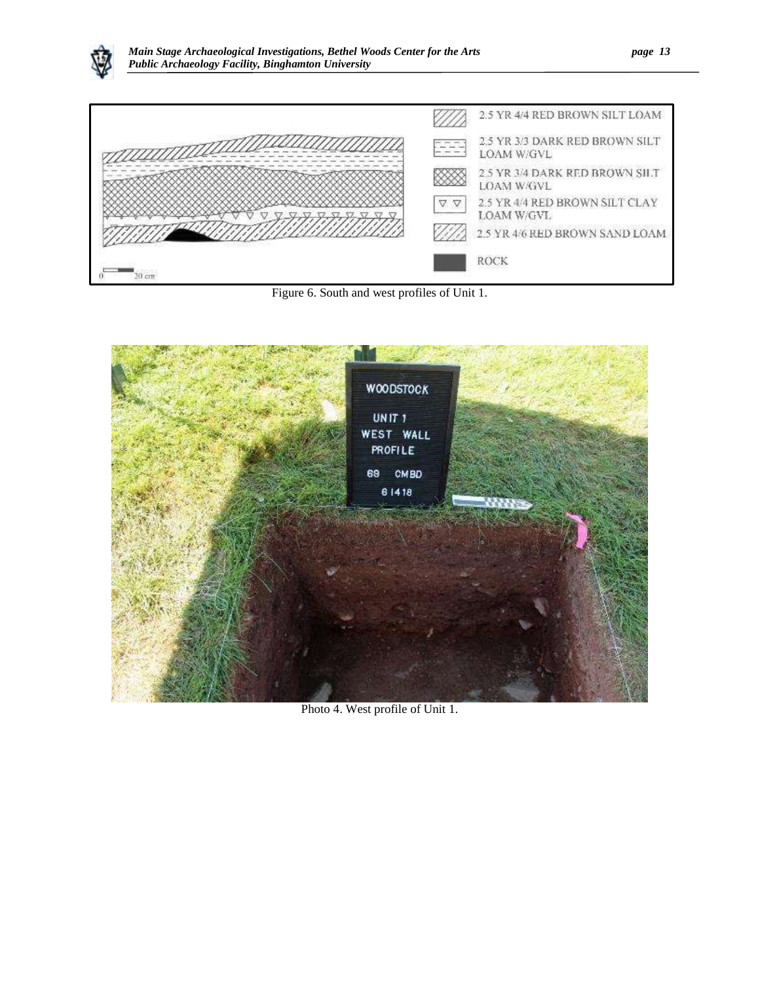



Figure 6. South and west profiles of Unit 1.

<span id="page-15-0"></span>

Photo 4. West profile of Unit 1.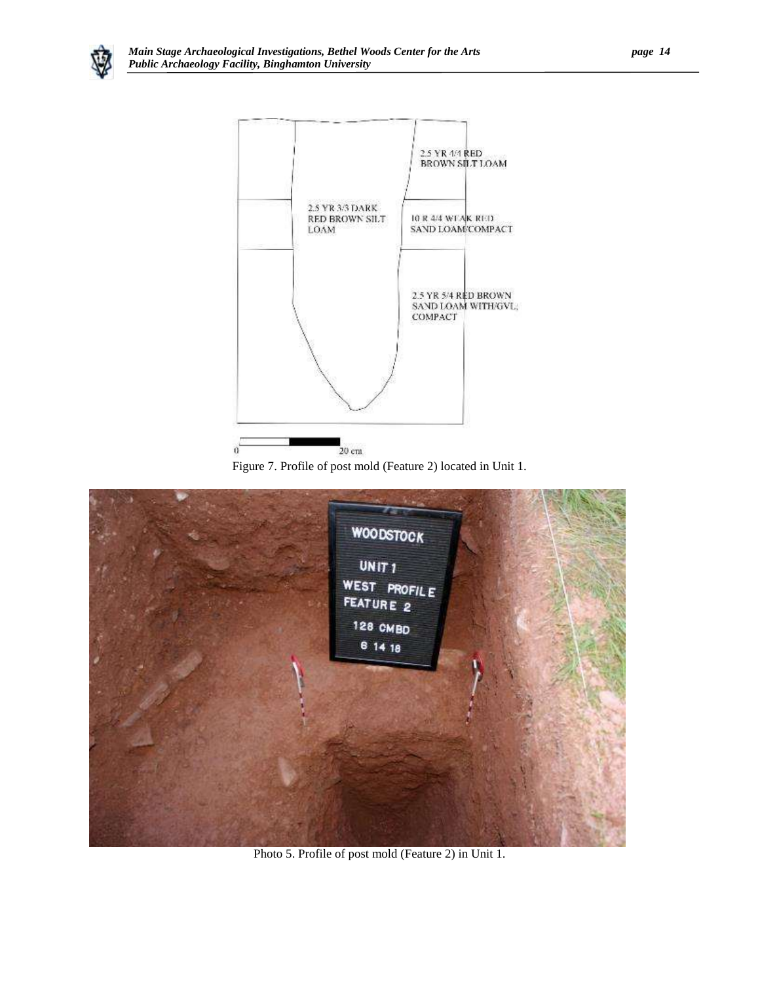



Figure 7. Profile of post mold (Feature 2) located in Unit 1.

<span id="page-16-0"></span>

Photo 5. Profile of post mold (Feature 2) in Unit 1.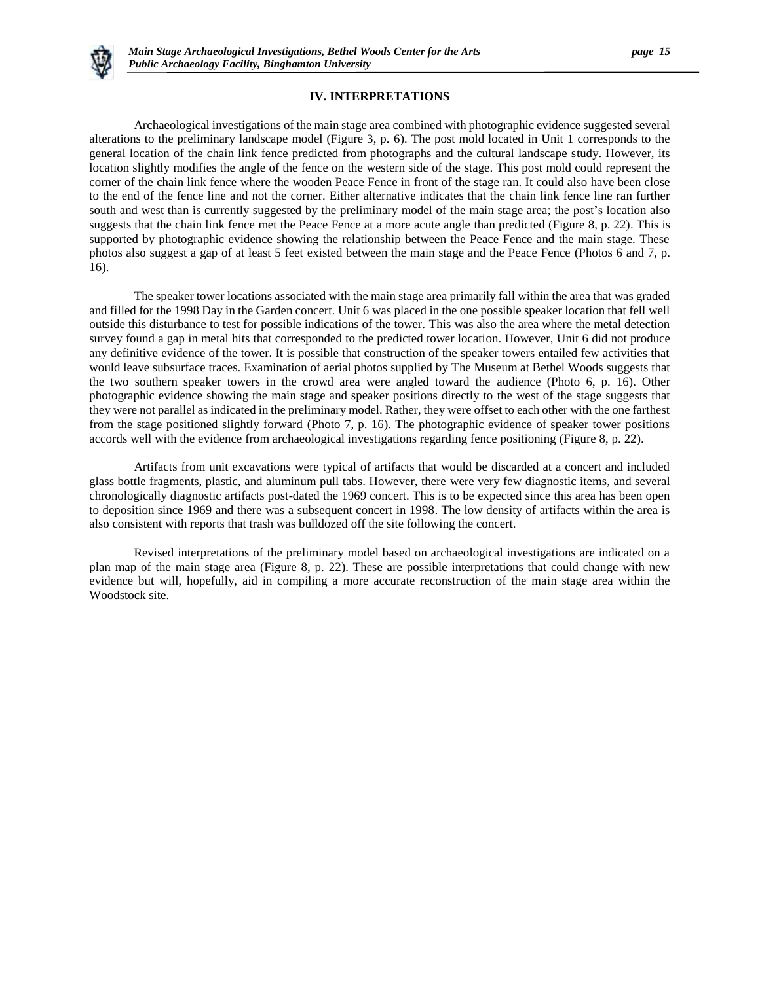

# **IV. INTERPRETATIONS**

Archaeological investigations of the main stage area combined with photographic evidence suggested several alterations to the preliminary landscape model (Figure 3, p. 6). The post mold located in Unit 1 corresponds to the general location of the chain link fence predicted from photographs and the cultural landscape study. However, its location slightly modifies the angle of the fence on the western side of the stage. This post mold could represent the corner of the chain link fence where the wooden Peace Fence in front of the stage ran. It could also have been close to the end of the fence line and not the corner. Either alternative indicates that the chain link fence line ran further south and west than is currently suggested by the preliminary model of the main stage area; the post's location also suggests that the chain link fence met the Peace Fence at a more acute angle than predicted (Figure 8, p. 22). This is supported by photographic evidence showing the relationship between the Peace Fence and the main stage. These photos also suggest a gap of at least 5 feet existed between the main stage and the Peace Fence (Photos 6 and 7, p. 16).

The speaker tower locations associated with the main stage area primarily fall within the area that was graded and filled for the 1998 Day in the Garden concert. Unit 6 was placed in the one possible speaker location that fell well outside this disturbance to test for possible indications of the tower. This was also the area where the metal detection survey found a gap in metal hits that corresponded to the predicted tower location. However, Unit 6 did not produce any definitive evidence of the tower. It is possible that construction of the speaker towers entailed few activities that would leave subsurface traces. Examination of aerial photos supplied by The Museum at Bethel Woods suggests that the two southern speaker towers in the crowd area were angled toward the audience (Photo 6, p. 16). Other photographic evidence showing the main stage and speaker positions directly to the west of the stage suggests that they were not parallel as indicated in the preliminary model. Rather, they were offset to each other with the one farthest from the stage positioned slightly forward (Photo 7, p. 16). The photographic evidence of speaker tower positions accords well with the evidence from archaeological investigations regarding fence positioning (Figure 8, p. 22).

Artifacts from unit excavations were typical of artifacts that would be discarded at a concert and included glass bottle fragments, plastic, and aluminum pull tabs. However, there were very few diagnostic items, and several chronologically diagnostic artifacts post-dated the 1969 concert. This is to be expected since this area has been open to deposition since 1969 and there was a subsequent concert in 1998. The low density of artifacts within the area is also consistent with reports that trash was bulldozed off the site following the concert.

Revised interpretations of the preliminary model based on archaeological investigations are indicated on a plan map of the main stage area (Figure 8, p. 22). These are possible interpretations that could change with new evidence but will, hopefully, aid in compiling a more accurate reconstruction of the main stage area within the Woodstock site.